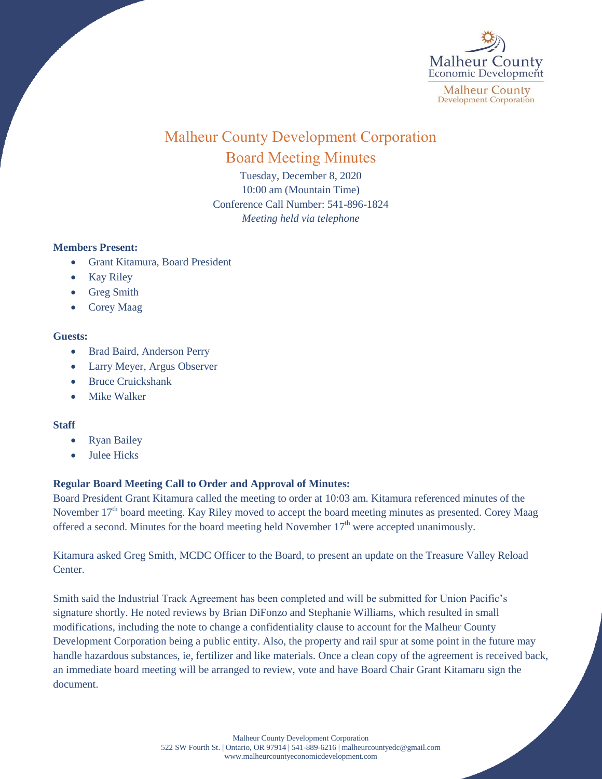

# Malheur County Development Corporation Board Meeting Minutes

Tuesday, December 8, 2020 10:00 am (Mountain Time) Conference Call Number: 541-896-1824 *Meeting held via telephone*

## **Members Present:**

- Grant Kitamura, Board President
- Kay Riley
- Greg Smith
- Corey Maag

## **Guests:**

- Brad Baird, Anderson Perry
- Larry Meyer, Argus Observer
- Bruce Cruickshank
- Mike Walker

## **Staff**

- Ryan Bailey
- Julee Hicks

## **Regular Board Meeting Call to Order and Approval of Minutes:**

Board President Grant Kitamura called the meeting to order at 10:03 am. Kitamura referenced minutes of the November 17<sup>th</sup> board meeting. Kay Riley moved to accept the board meeting minutes as presented. Corey Maag offered a second. Minutes for the board meeting held November  $17<sup>th</sup>$  were accepted unanimously.

Kitamura asked Greg Smith, MCDC Officer to the Board, to present an update on the Treasure Valley Reload Center.

Smith said the Industrial Track Agreement has been completed and will be submitted for Union Pacific's signature shortly. He noted reviews by Brian DiFonzo and Stephanie Williams, which resulted in small modifications, including the note to change a confidentiality clause to account for the Malheur County Development Corporation being a public entity. Also, the property and rail spur at some point in the future may handle hazardous substances, ie, fertilizer and like materials. Once a clean copy of the agreement is received back, an immediate board meeting will be arranged to review, vote and have Board Chair Grant Kitamaru sign the document.